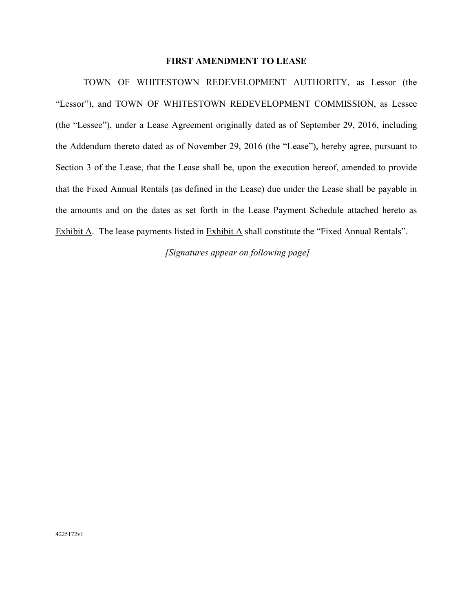#### **FIRST AMENDMENT TO LEASE**

TOWN OF WHITESTOWN REDEVELOPMENT AUTHORITY, as Lessor (the "Lessor"), and TOWN OF WHITESTOWN REDEVELOPMENT COMMISSION, as Lessee (the "Lessee"), under a Lease Agreement originally dated as of September 29, 2016, including the Addendum thereto dated as of November 29, 2016 (the "Lease"), hereby agree, pursuant to Section 3 of the Lease, that the Lease shall be, upon the execution hereof, amended to provide that the Fixed Annual Rentals (as defined in the Lease) due under the Lease shall be payable in the amounts and on the dates as set forth in the Lease Payment Schedule attached hereto as Exhibit A. The lease payments listed in Exhibit A shall constitute the "Fixed Annual Rentals".

*[Signatures appear on following page]*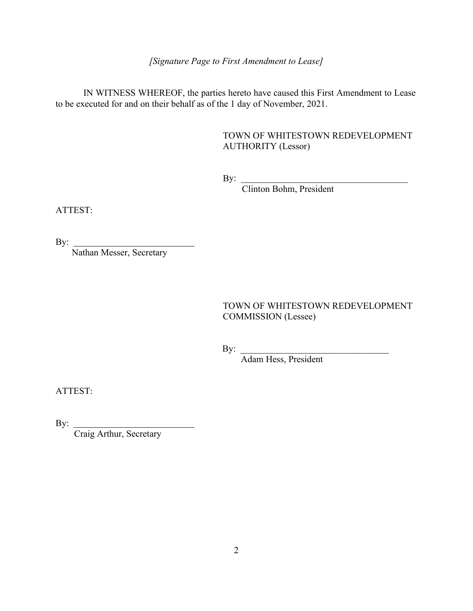*[Signature Page to First Amendment to Lease]* 

IN WITNESS WHEREOF, the parties hereto have caused this First Amendment to Lease to be executed for and on their behalf as of the 1 day of November, 2021.

#### TOWN OF WHITESTOWN REDEVELOPMENT AUTHORITY (Lessor)

 $\mathbf{By:}$ 

Clinton Bohm, President

ATTEST:

By:  $\overline{\phantom{a}}$ 

Nathan Messer, Secretary

TOWN OF WHITESTOWN REDEVELOPMENT COMMISSION (Lessee)

By: \_\_\_\_\_\_\_\_\_\_\_\_\_\_\_\_\_\_\_\_\_\_\_\_\_\_\_\_\_\_\_\_

Adam Hess, President

ATTEST:

By:  $\overline{\phantom{a}}$ 

Craig Arthur, Secretary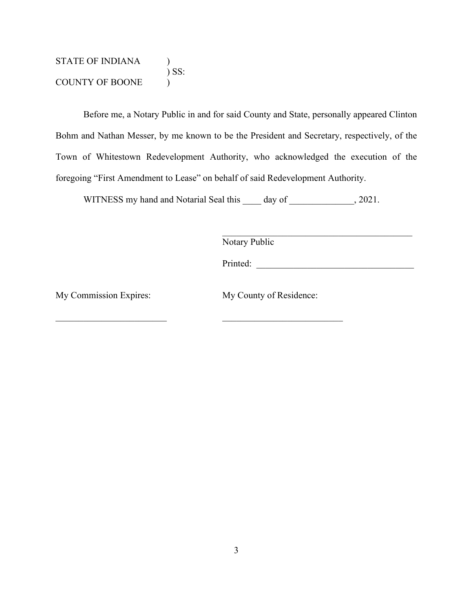STATE OF INDIANA (1)  $\int$  SS: COUNTY OF BOONE )

Before me, a Notary Public in and for said County and State, personally appeared Clinton Bohm and Nathan Messer, by me known to be the President and Secretary, respectively, of the Town of Whitestown Redevelopment Authority, who acknowledged the execution of the foregoing "First Amendment to Lease" on behalf of said Redevelopment Authority.

WITNESS my hand and Notarial Seal this day of 3021.

Notary Public

Printed: \_\_\_\_\_\_\_\_\_\_\_\_\_\_\_\_\_\_\_\_\_\_\_\_\_\_\_\_\_\_\_\_\_\_

 $\mathcal{L}_\text{max}$  , and the contract of the contract of the contract of the contract of the contract of the contract of the contract of the contract of the contract of the contract of the contract of the contract of the contr

My Commission Expires: My County of Residence:

 $\mathcal{L}_\text{max}$  and  $\mathcal{L}_\text{max}$  and  $\mathcal{L}_\text{max}$  and  $\mathcal{L}_\text{max}$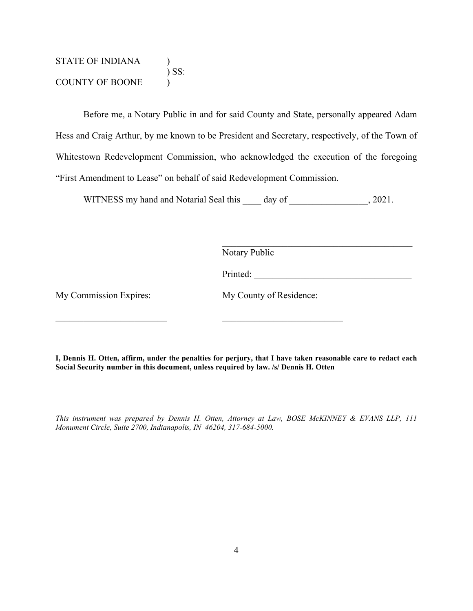STATE OF INDIANA (1)  $\sum$  SS: COUNTY OF BOONE )

Before me, a Notary Public in and for said County and State, personally appeared Adam Hess and Craig Arthur, by me known to be President and Secretary, respectively, of the Town of Whitestown Redevelopment Commission, who acknowledged the execution of the foregoing "First Amendment to Lease" on behalf of said Redevelopment Commission.

WITNESS my hand and Notarial Seal this day of  $\qquad \qquad , 2021.$ 

Notary Public

Printed: \_\_\_\_\_\_\_\_\_\_\_\_\_\_\_\_\_\_\_\_\_\_\_\_\_\_\_\_\_\_\_\_\_\_

My Commission Expires: My Commission Expires:

**I, Dennis H. Otten, affirm, under the penalties for perjury, that I have taken reasonable care to redact each Social Security number in this document, unless required by law. /s/ Dennis H. Otten** 

 $\mathcal{L}_\text{max}$  , and the contract of the contract of the contract of the contract of the contract of the contract of the contract of the contract of the contract of the contract of the contract of the contract of the contr

*This instrument was prepared by Dennis H. Otten, Attorney at Law, BOSE McKINNEY & EVANS LLP, 111 Monument Circle, Suite 2700, Indianapolis, IN 46204, 317-684-5000.*